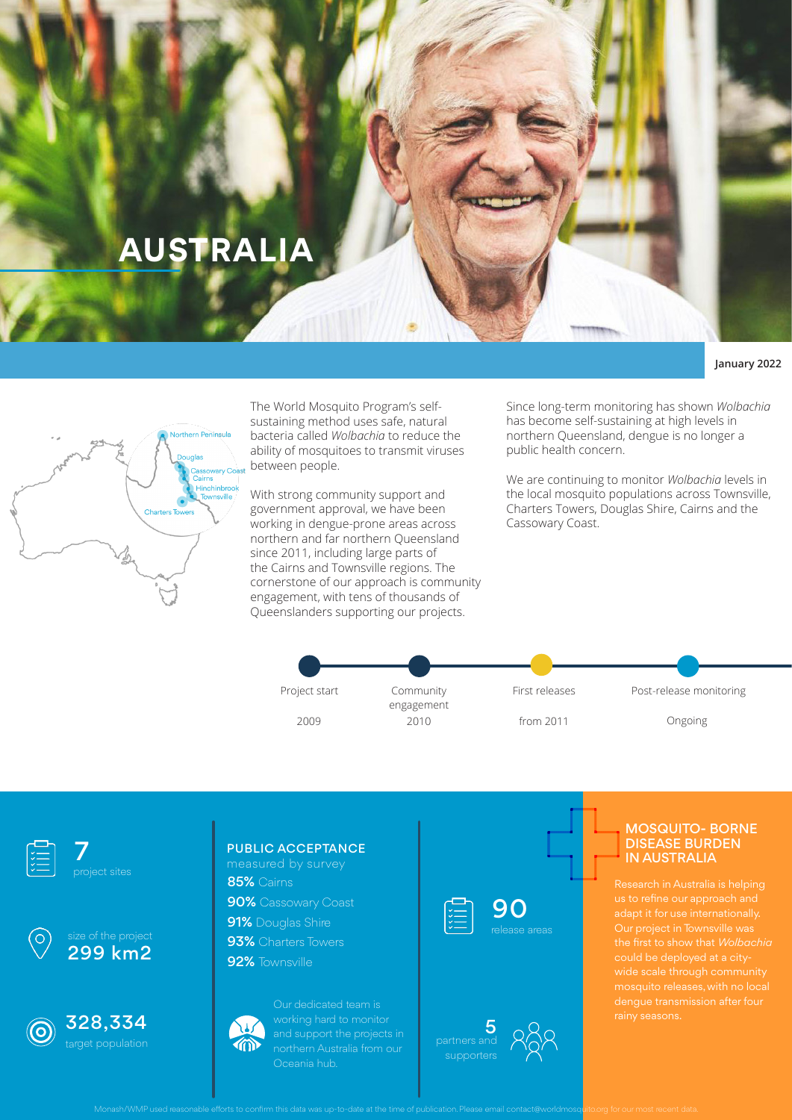# **AUSTRALIA**

#### **January 2022**



The World Mosquito Program's selfsustaining method uses safe, natural bacteria called *Wolbachia* to reduce the ability of mosquitoes to transmit viruses between people.

With strong community support and government approval, we have been working in dengue-prone areas across northern and far northern Queensland since 2011, including large parts of the Cairns and Townsville regions. The cornerstone of our approach is community engagement, with tens of thousands of Queenslanders supporting our projects.

Since long-term monitoring has shown *Wolbachia*  has become self-sustaining at high levels in northern Queensland, dengue is no longer a public health concern.

We are continuing to monitor *Wolbachia* levels in the local mosquito populations across Townsville, Charters Towers, Douglas Shire, Cairns and the Cassowary Coast.